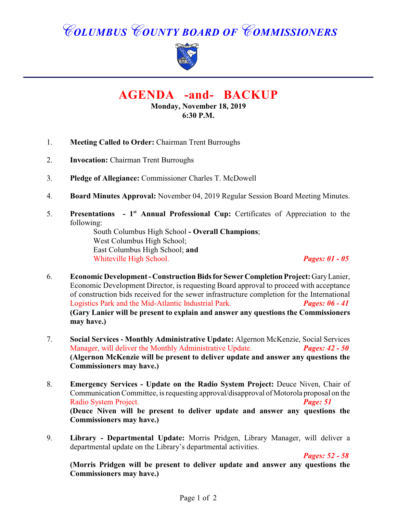# *COLUMBUS COUNTY BOARD OF COMMISSIONERS*



# **AGENDA -and- BACKUP**

**Monday, November 18, 2019 6:30 P.M.**

- 1. **Meeting Called to Order:** Chairman Trent Burroughs
- 2. **Invocation:** Chairman Trent Burroughs
- 3. **Pledge of Allegiance:** Commissioner Charles T. McDowell
- 4. **Board Minutes Approval:** November 04, 2019 Regular Session Board Meeting Minutes.
- 5. **Presentations 1<sup>st</sup> Annual Professional Cup:** Certificates of Appreciation to the following:

South Columbus High School **- Overall Champions**; West Columbus High School; East Columbus High School; **and** Whiteville High School. *Pages: 01 - 05*

- 6. **Economic Development Construction Bids for Sewer Completion Project:** Gary Lanier, Economic Development Director, is requesting Board approval to proceed with acceptance of construction bids received for the sewer infrastructure completion for the International Logistics Park and the Mid-Atlantic Industrial Park. *Pages: 06 - 41* **(Gary Lanier will be present to explain and answer any questions the Commissioners may have.)**
- 7. **Social Services Monthly Administrative Update:** Algernon McKenzie, Social Services Manager, will deliver the Monthly Administrative Update. *Pages: 42 - 50* **(Algernon McKenzie will be present to deliver update and answer any questions the Commissioners may have.)**
- 8. **Emergency Services Update on the Radio System Project:** Deuce Niven, Chair of Communication Committee, is requesting approval/disapproval of Motorola proposal on the Radio System Project. *Page: 51* **(Deuce Niven will be present to deliver update and answer any questions the Commissioners may have.)**
- 9. **Library Departmental Update:** Morris Pridgen, Library Manager, will deliver a departmental update on the Library's departmental activities.

*Pages: 52 - 58*

**(Morris Pridgen will be present to deliver update and answer any questions the Commissioners may have.)**